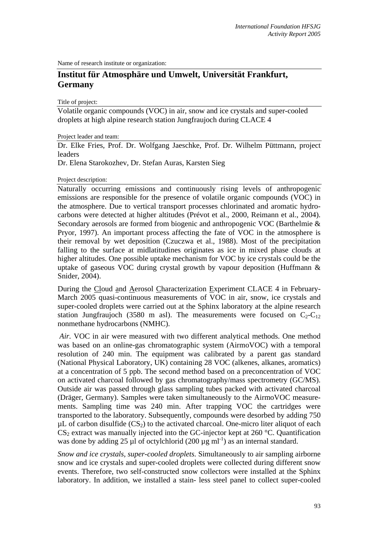Name of research institute or organization:

## **Institut für Atmosphäre und Umwelt, Universität Frankfurt, Germany**

Title of project:

Volatile organic compounds (VOC) in air, snow and ice crystals and super-cooled droplets at high alpine research station Jungfraujoch during CLACE 4

Project leader and team:

Dr. Elke Fries, Prof. Dr. Wolfgang Jaeschke, Prof. Dr. Wilhelm Püttmann, project leaders

Dr. Elena Starokozhev, Dr. Stefan Auras, Karsten Sieg

Project description:

Naturally occurring emissions and continuously rising levels of anthropogenic emissions are responsible for the presence of volatile organic compounds (VOC) in the atmosphere. Due to vertical transport processes chlorinated and aromatic hydrocarbons were detected at higher altitudes (Prévot et al., 2000, Reimann et al., 2004). Secondary aerosols are formed from biogenic and anthropogenic VOC (Barthelmie & Pryor, 1997). An important process affecting the fate of VOC in the atmosphere is their removal by wet deposition (Czuczwa et al., 1988). Most of the precipitation falling to the surface at midlatitudines originates as ice in mixed phase clouds at higher altitudes. One possible uptake mechanism for VOC by ice crystals could be the uptake of gaseous VOC during crystal growth by vapour deposition (Huffmann  $\&$ Snider, 2004).

During the Cloud and Aerosol Characterization Experiment CLACE 4 in February-March 2005 quasi-continuous measurements of VOC in air, snow, ice crystals and super-cooled droplets were carried out at the Sphinx laboratory at the alpine research station Jungfraujoch (3580 m asl). The measurements were focused on  $C_2-C_{12}$ nonmethane hydrocarbons (NMHC).

 *Air.* VOC in air were measured with two different analytical methods. One method was based on an online-gas chromatographic system (AirmoVOC) with a temporal resolution of 240 min. The equipment was calibrated by a parent gas standard (National Physical Laboratory, UK) containing 28 VOC (alkenes, alkanes, aromatics) at a concentration of 5 ppb. The second method based on a preconcentration of VOC on activated charcoal followed by gas chromatography/mass spectrometry (GC/MS). Outside air was passed through glass sampling tubes packed with activated charcoal (Dräger, Germany). Samples were taken simultaneously to the AirmoVOC measurements. Sampling time was 240 min. After trapping VOC the cartridges were transported to the laboratory. Subsequently, compounds were desorbed by adding 750  $\mu$ L of carbon disulfide (CS<sub>2</sub>) to the activated charcoal. One-micro liter aliquot of each  $CS_2$  extract was manually injected into the GC-injector kept at 260 °C. Quantification was done by adding 25 ul of octylchlorid (200  $\mu$ g ml<sup>-1</sup>) as an internal standard.

*Snow and ice crystals, super-cooled droplets.* Simultaneously to air sampling airborne snow and ice crystals and super-cooled droplets were collected during different snow events. Therefore, two self-constructed snow collectors were installed at the Sphinx laboratory. In addition, we installed a stain- less steel panel to collect super-cooled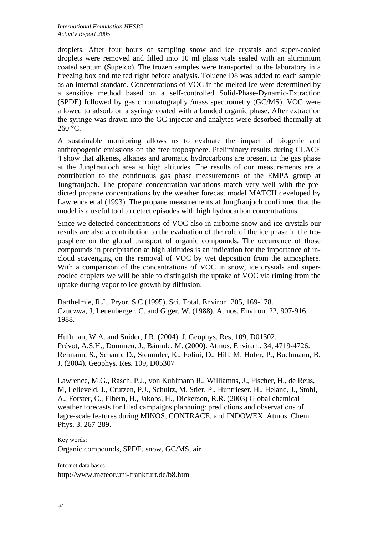droplets. After four hours of sampling snow and ice crystals and super-cooled droplets were removed and filled into 10 ml glass vials sealed with an aluminium coated septum (Supelco). The frozen samples were transported to the laboratory in a freezing box and melted right before analysis. Toluene D8 was added to each sample as an internal standard. Concentrations of VOC in the melted ice were determined by a sensitive method based on a self-controlled Solid-Phase-Dynamic-Extraction (SPDE) followed by gas chromatography /mass spectrometry (GC/MS). VOC were allowed to adsorb on a syringe coated with a bonded organic phase. After extraction the syringe was drawn into the GC injector and analytes were desorbed thermally at 260 °C.

A sustainable monitoring allows us to evaluate the impact of biogenic and anthropogenic emissions on the free troposphere. Preliminary results during CLACE 4 show that alkenes, alkanes and aromatic hydrocarbons are present in the gas phase at the Jungfraujoch area at high altitudes. The results of our measurements are a contribution to the continuous gas phase measurements of the EMPA group at Jungfraujoch. The propane concentration variations match very well with the predicted propane concentrations by the weather forecast model MATCH developed by Lawrence et al (1993). The propane measurements at Jungfraujoch confirmed that the model is a useful tool to detect episodes with high hydrocarbon concentrations.

Since we detected concentrations of VOC also in airborne snow and ice crystals our results are also a contribution to the evaluation of the role of the ice phase in the troposphere on the global transport of organic compounds. The occurrence of those compounds in precipitation at high altitudes is an indication for the importance of incloud scavenging on the removal of VOC by wet deposition from the atmosphere. With a comparison of the concentrations of VOC in snow, ice crystals and supercooled droplets we will be able to distinguish the uptake of VOC via riming from the uptake during vapor to ice growth by diffusion.

Barthelmie, R.J., Pryor, S.C (1995). Sci. Total. Environ. 205, 169-178. Czuczwa, J, Leuenberger, C. and Giger, W. (1988). Atmos. Environ. 22, 907-916, 1988.

Huffman, W.A. and Snider, J.R. (2004). J. Geophys. Res, 109, D01302. Prévot, A.S.H., Dommen, J., Bäumle, M. (2000). Atmos. Environ., 34, 4719-4726. Reimann, S., Schaub, D., Stemmler, K., Folini, D., Hill, M. Hofer, P., Buchmann, B. J. (2004). Geophys. Res. 109, D05307

Lawrence, M.G., Rasch, P.J., von Kuhlmann R., Williamns, J., Fischer, H., de Reus, M, Lelieveld, J., Crutzen, P.J., Schultz, M. Stier, P., Huntrieser, H., Heland, J., Stohl, A., Forster, C., Elbern, H., Jakobs, H., Dickerson, R.R. (2003) Global chemical weather forecasts for filed campaigns plannuing: predictions and observations of lagre-scale features during MINOS, CONTRACE, and INDOWEX. Atmos. Chem. Phys. 3, 267-289.

## Key words:

Organic compounds, SPDE, snow, GC/MS, air

Internet data bases:

http://www.meteor.uni-frankfurt.de/b8.htm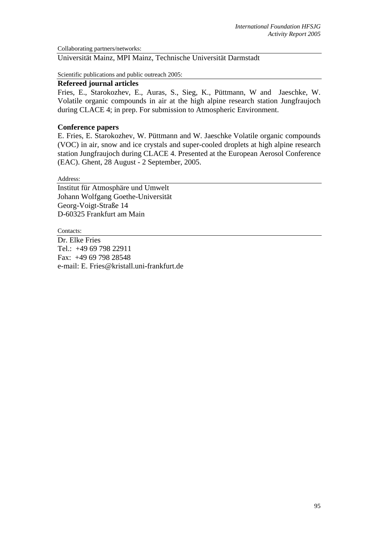Collaborating partners/networks:

Universität Mainz, MPI Mainz, Technische Universität Darmstadt

Scientific publications and public outreach 2005:

## **Refereed journal articles**

Fries, E., Starokozhev, E., Auras, S., Sieg, K., Püttmann, W and Jaeschke, W. Volatile organic compounds in air at the high alpine research station Jungfraujoch during CLACE 4; in prep. For submission to Atmospheric Environment.

## **Conference papers**

E. Fries, E. Starokozhev, W. Püttmann and W. Jaeschke Volatile organic compounds (VOC) in air, snow and ice crystals and super-cooled droplets at high alpine research station Jungfraujoch during CLACE 4. Presented at the European Aerosol Conference (EAC). Ghent, 28 August - 2 September, 2005.

Address:

Institut für Atmosphäre und Umwelt Johann Wolfgang Goethe-Universität Georg-Voigt-Straße 14 D-60325 Frankfurt am Main

Contacts:

Dr. Elke Fries Tel.: +49 69 798 22911 Fax: +49 69 798 28548 e-mail: E. Fries@kristall.uni-frankfurt.de